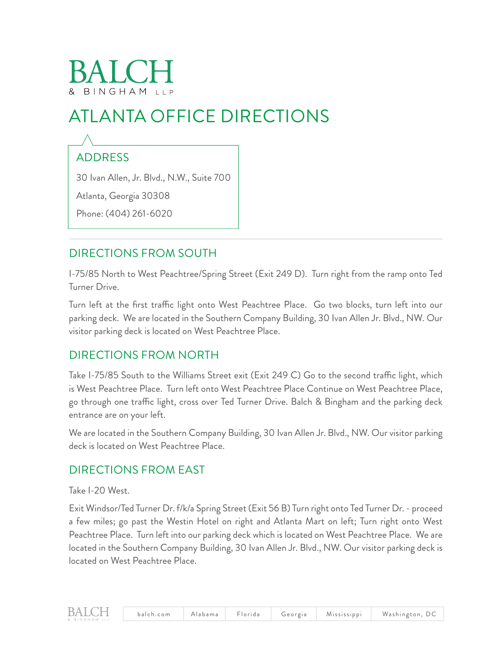# & BINGHAM LLP

# ATLANTA OFFICE DIRECTIONS

## ADDRESS

30 Ivan Allen, Jr. Blvd., N.W., Suite 700

Atlanta, Georgia 30308

Phone: (404) 261-6020

### DIRECTIONS FROM SOUTH

I-75/85 North to West Peachtree/Spring Street (Exit 249 D). Turn right from the ramp onto Ted Turner Drive.

Turn left at the first traffic light onto West Peachtree Place. Go two blocks, turn left into our parking deck. We are located in the Southern Company Building, 30 Ivan Allen Jr. Blvd., NW. Our visitor parking deck is located on West Peachtree Place.

#### DIRECTIONS FROM NORTH

Take I-75/85 South to the Williams Street exit (Exit 249 C) Go to the second traffic light, which is West Peachtree Place. Turn left onto West Peachtree Place Continue on West Peachtree Place, go through one traffic light, cross over Ted Turner Drive. Balch & Bingham and the parking deck entrance are on your left.

We are located in the Southern Company Building, 30 Ivan Allen Jr. Blvd., NW. Our visitor parking deck is located on West Peachtree Place.

#### DIRECTIONS FROM EAST

Take I-20 West.

Exit Windsor/Ted Turner Dr. f/k/a Spring Street (Exit 56 B) Turn right onto Ted Turner Dr. - proceed a few miles; go past the Westin Hotel on right and Atlanta Mart on left; Turn right onto West Peachtree Place. Turn left into our parking deck which is located on West Peachtree Place. We are located in the Southern Company Building, 30 Ivan Allen Jr. Blvd., NW. Our visitor parking deck is located on West Peachtree Place.